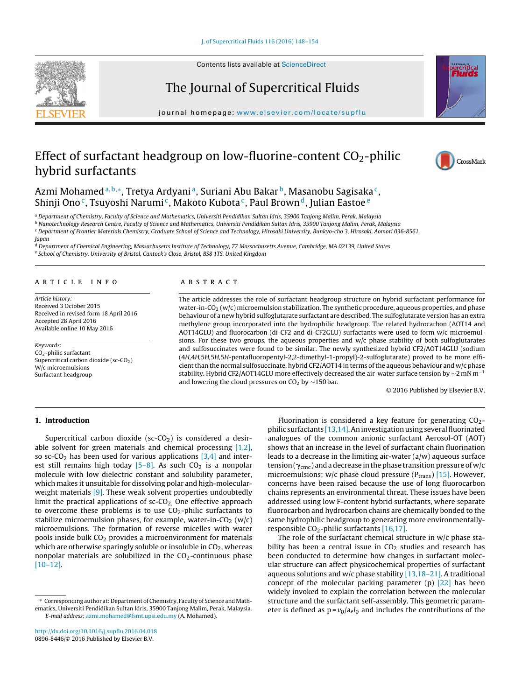Contents lists available at [ScienceDirect](http://www.sciencedirect.com/science/journal/08968446)

# The Journal of Supercritical Fluids

iournal homepage: [www.elsevier.com/locate/supflu](http://www.elsevier.com/locate/supflu)

# Effect of surfactant headgroup on low-fluorine-content  $CO_2$ -philic hybrid surfactants

Azmi Mohamed<sup>a,b,∗</sup>, Tretya Ardyani<sup>a</sup>, Suriani Abu Bakar<sup>b</sup>, Masanobu Sagisaka<sup>c</sup>, Shinji Ono<sup>c</sup>, Tsuyoshi Narumi<sup>c</sup>, Makoto Kubota<sup>c</sup>, Paul Brown<sup>d</sup>, Julian Eastoe<sup>e</sup>

a Department of Chemistry, Faculty of Science and Mathematics, Universiti Pendidikan Sultan Idris, 35900 Tanjong Malim, Perak, Malaysia

b Nanotechnology Research Centre, Faculty of Science and Mathematics, Universiti Pendidikan Sultan Idris, 35900 Tanjong Malim, Perak, Malaysia

<sup>c</sup> Department of Frontier Materials Chemistry, Graduate School of Science and Technology, Hirosaki University, Bunkyo-cho 3, Hirosaki, Aomori 036-8561,

Japan

<sup>d</sup> Department of Chemical Engineering, Massachusetts Institute of Technology, 77 Massachusetts Avenue, Cambridge, MA 02139, United States e School of Chemistry, University of Bristol, Cantock's Close, Bristol, BS8 1TS, United Kingdom

#### a r t i c l e i n f o

Article history: Received 3 October 2015 Received in revised form 18 April 2016 Accepted 28 April 2016 Available online 10 May 2016

Keywords: CO2-philic surfactant Supercritical carbon dioxide (sc- $CO<sub>2</sub>$ ) W/c microemulsions Surfactant headgroup

#### A B S T R A C T

The article addresses the role of surfactant headgroup structure on hybrid surfactant performance for water-in- $CO<sub>2</sub> (w/c)$  microemulsion stabilization. The synthetic procedure, aqueous properties, and phase behaviour of a new hybrid sulfoglutarate surfactant are described. The sulfoglutarate version has an extra methylene group incorporated into the hydrophilic headgroup. The related hydrocarbon (AOT14 and AOT14GLU) and fluorocarbon (di-CF2 and di-CF2GLU) surfactants were used to form w/c microemulsions. For these two groups, the aqueous properties and w/c phase stability of both sulfoglutarates and sulfosuccinates were found to be similar. The newly synthesized hybrid CF2/AOT14GLU (sodium (4H,4H,5H,5H,5H-pentafluoropentyl-2,2-dimethyl-1-propyl)-2-sulfoglutarate) proved to be more efficient than the normal sulfosuccinate, hybrid CF2/AOT14 in terms of the aqueous behaviour and w/c phase stability. Hybrid CF2/AOT14GLU more effectively decreased the air-water surface tension by  $\sim$ 2 mN m<sup>-1</sup> and lowering the cloud pressures on  $CO<sub>2</sub>$  by ~150 bar.

© 2016 Published by Elsevier B.V.

## **1. Introduction**

Supercritical carbon dioxide ( $sc$ - $CO<sub>2</sub>$ ) is considered a desirable solvent for green materials and chemical processing [\[1,2\],](#page-5-0) so sc-CO<sub>2</sub> has been used for various applications  $[3,4]$  and interest still remains high today  $[5-8]$ . As such CO<sub>2</sub> is a nonpolar molecule with low dielectric constant and solubility parameter, which makes it unsuitable for dissolving polar and high-molecular-weight materials [\[9\].](#page-5-0) These weak solvent properties undoubtedly limit the practical applications of  $sc$ - $CO<sub>2</sub>$ . One effective approach to overcome these problems is to use  $CO<sub>2</sub>$ -philic surfactants to stabilize microemulsion phases, for example, water-in- $CO<sub>2</sub>$  (w/c) microemulsions. The formation of reverse micelles with water pools inside bulk  $CO<sub>2</sub>$  provides a microenvironment for materials which are otherwise sparingly soluble or insoluble in  $CO<sub>2</sub>$ , whereas nonpolar materials are solubilized in the  $CO<sub>2</sub>$ -continuous phase [\[10–12\].](#page-5-0)

responsible  $CO_2$ -philic surfactants [\[16,17\].](#page-6-0) The role of the surfactant chemical structure in  $w/c$  phase stability has been a central issue in  $CO<sub>2</sub>$  studies and research has been conducted to determine how changes in surfactant molecular structure can affect physicochemical properties of surfactant aqueous solutions and w/c phase stability  $[13,18-21]$ . A traditional concept of the molecular packing parameter (p) [\[22\]](#page-6-0) has been widely invoked to explain the correlation between the molecular structure and the surfactant self-assembly. This geometric parameter is defined as  $p = v_0/a_e l_0$  and includes the contributions of the

Fluorination is considered a key feature for generating  $CO<sub>2</sub>$ philic surfactants  $[13,14]$ . An investigation using several fluorinated analogues of the common anionic surfactant Aerosol-OT (AOT) shows that an increase in the level of surfactant chain fluorination leads to a decrease in the limiting air-water (a/w) aqueous surface tension ( $\gamma_{\rm cmc}$  ) and a decrease in the phase transition pressure of w/c microemulsions; w/c phase cloud pressure  $(P_{trans})$  [\[15\].](#page-6-0) However, concerns have been raised because the use of long fluorocarbon chains represents an environmental threat. These issues have been addressed using low F-content hybrid surfactants, where separate fluorocarbon and hydrocarbon chains are chemically bonded to the same hydrophilic headgroup to generating more environmentally-





CrossMark





<sup>∗</sup> Corresponding author at: Department of Chemistry, Faculty of Science andMathematics, Universiti Pendidikan Sultan Idris, 35900 Tanjong Malim, Perak, Malaysia. E-mail address: [azmi.mohamed@fsmt.upsi.edu.my](mailto:azmi.mohamed@fsmt.upsi.edu.my) (A. Mohamed).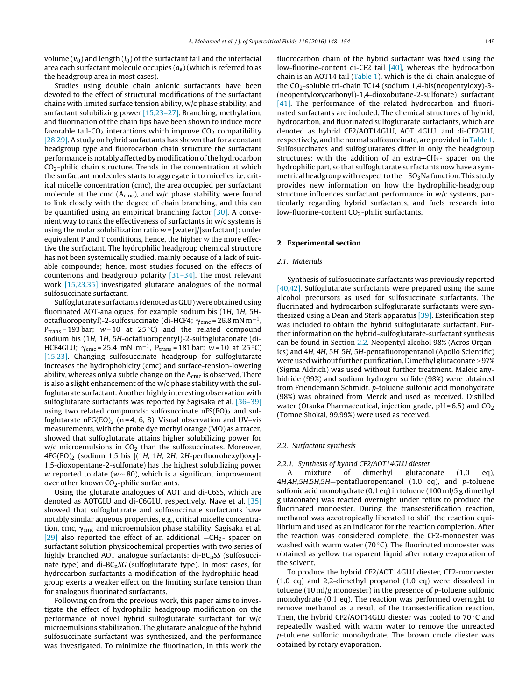volume  $(v_0)$  and length  $(l_0)$  of the surfactant tail and the interfacial area each surfactant molecule occupies  $(a_e)$  (which is referred to as the headgroup area in most cases).

Studies using double chain anionic surfactants have been devoted to the effect of structural modifications of the surfactant chains with limited surface tension ability, w/c phase stability, and surfactant solubilizing power [\[15,23–27\].](#page-6-0) Branching, methylation, and fluorination of the chain tips have been shown to induce more favorable tail- $CO<sub>2</sub>$  interactions which improve  $CO<sub>2</sub>$  compatibility [\[28,29\].](#page-6-0) A study on hybrid surfactants has shown that for a constant headgroup type and fluorocarbon chain structure the surfactant performance is notably affected by modification of the hydrocarbon  $CO<sub>2</sub>$ -philic chain structure. Trends in the concentration at which the surfactant molecules starts to aggregate into micelles i.e. critical micelle concentration (cmc), the area occupied per surfactant molecule at the cmc ( $A_{\text{cmc}}$ ), and w/c phase stability were found to link closely with the degree of chain branching, and this can be quantified using an empirical branching factor [\[30\].](#page-6-0) A convenient way to rank the effectiveness of surfactants in w/c systems is using the molar solubilization ratio  $w = |$  water $|/|$ surfactant $|$ : under equivalent P and T conditions, hence, the higher w the more effective the surfactant. The hydrophilic headgroup chemical structure has not been systemically studied, mainly because of a lack of suitable compounds; hence, most studies focused on the effects of counterions and headgroup polarity [\[31–34\].](#page-6-0) The most relevant work [\[15,23,35\]](#page-6-0) investigated glutarate analogues of the normal sulfosuccinate surfactant.

Sulfoglutarate surfactants (denoted as GLU) were obtained using fluorinated AOT-analogues, for example sodium bis (1H, 1H, 5Hoctafluoropentyl)-2-sulfosuccinate (di-HCF4;  $\gamma_{\rm cmc}$  = 26.8 mN m $^{-1}$ , P<sub>trans</sub> = 193 bar;  $w = 10$  at 25 °C) and the related compound sodium bis (1H, 1H, 5H-octafluoropentyl)-2-sulfoglutaconate (di-HCF4GLU;  $\gamma_{\text{cmc}}$ =25.4 mN m<sup>-1</sup>, P<sub>trans</sub>=181 bar; w=10 at 25 °C) [\[15,23\].](#page-6-0) Changing sulfosuccinate headgroup for sulfoglutarate increases the hydrophobicity (cmc) and surface-tension-lowering ability, whereas only a subtle change on the  $A_{\text{cmc}}$  is observed. There is also a slight enhancement of the w/c phase stability with the sulfoglutarate surfactant. Another highly interesting observation with sulfoglutarate surfactants was reported by Sagisaka et al. [\[36–39\]](#page-6-0) using two related compounds: sulfosuccinate  $nFS(EO)_2$  and sulfoglutarate nFG(EO)<sub>2</sub> (n = 4, 6, 8). Visual observation and UV–vis measurements, with the probe dye methyl orange (MO) as a tracer, showed that sulfoglutarate attains higher solubilizing power for  $w/c$  microemulsions in  $CO<sub>2</sub>$  than the sulfosuccinates. Moreover,  $4FG(EO)_2$  (sodium 1,5 bis [(1H, 1H, 2H, 2H-perfluorohexyl)oxy]-1,5-dioxopentane-2-sulfonate) has the highest solubilizing power w reported to date ( $w \sim 80$ ), which is a significant improvement over other known  $CO<sub>2</sub>$ -philic surfactants.

Using the glutarate analogues of AOT and di-C6SS, which are denoted as AOTGLU and di-C6GLU, respectively, Nave et al. [\[35\]](#page-6-0) showed that sulfoglutarate and sulfosuccinate surfactants have notably similar aqueous properties, e.g., critical micelle concentration, cmc,  $\gamma_{\rm cmc}$  and microemulsion phase stability. Sagisaka et al. [\[29\]](#page-6-0) also reported the effect of an additional  $-CH_2$ - spacer on surfactant solution physicochemical properties with two series of highly branched AOT analogue surfactants:  $di-BC<sub>n</sub>SS$  (sulfosuccinate type) and di- $BC_nSG$  (sulfoglutarate type). In most cases, for hydrocarbon surfactants a modification of the hydrophilic headgroup exerts a weaker effect on the limiting surface tension than for analogous fluorinated surfactants.

Following on from the previous work, this paper aims to investigate the effect of hydrophilic headgroup modification on the performance of novel hybrid sulfoglutarate surfactant for w/c microemulsions stabilization. The glutarate analogue of the hybrid sulfosuccinate surfactant was synthesized, and the performance was investigated. To minimize the fluorination, in this work the fluorocarbon chain of the hybrid surfactant was fixed using the low-fluorine-content di-CF2 tail [\[40\],](#page-6-0) whereas the hydrocarbon chain is an AOT14 tail [\(Table](#page-2-0) 1), which is the di-chain analogue of the CO<sub>2</sub>-soluble tri-chain TC14 (sodium 1,4-bis(neopentyloxy)-3-(neopentyloxycarbonyl)-1,4-dioxobutane-2-sulfonate) surfactant [\[41\].](#page-6-0) The performance of the related hydrocarbon and fluorinated surfactants are included. The chemical structures of hybrid, hydrocarbon, and fluorinated sulfoglutarate surfactants, which are denoted as hybrid CF2/AOT14GLU, AOT14GLU, and di-CF2GLU, respectively, and the normal sulfosuccinate, are provided in [Table](#page-2-0) 1. Sulfosuccinates and sulfoglutarates differ in only the headgroup structures: with the addition of an extra- $CH<sub>2</sub>$ - spacer on the hydrophilic part, so that sulfoglutarate surfactants now have a symmetrical headgroup with respect to the  $-SO<sub>3</sub>$ Na function. This study provides new information on how the hydrophilic-headgroup structure influences surfactant performance in w/c systems, particularly regarding hybrid surfactants, and fuels research into low-fluorine-content  $CO<sub>2</sub>$ -philic surfactants.

## **2. Experimental section**

#### 2.1. Materials

Synthesis of sulfosuccinate surfactants was previously reported [\[40,42\].](#page-6-0) Sulfoglutarate surfactants were prepared using the same alcohol precursors as used for sulfosuccinate surfactants. The fluorinated and hydrocarbon sulfoglutarate surfactants were synthesized using a Dean and Stark apparatus [\[39\].](#page-6-0) Esterification step was included to obtain the hybrid sulfoglutarate surfactant. Further information on the hybrid-sulfoglutarate-surfactant synthesis can be found in Section 2.2. Neopentyl alcohol 98% (Acros Organics) and 4H, 4H, 5H, 5H, 5H-pentafluoropentanol (Apollo Scientific) were used without further purification. Dimethyl glutaconate  $\geq$ 97% (Sigma Aldrich) was used without further treatment. Maleic anyhidride (99%) and sodium hydrogen sulfide (98%) were obtained from Friendemann Schmidt. p-toluene sulfonic acid monohydrate (98%) was obtained from Merck and used as received. Distilled water (Otsuka Pharmaceutical, injection grade,  $pH = 6.5$ ) and  $CO<sub>2</sub>$ (Tomoe Shokai, 99.99%) were used as received.

## 2.2. Surfactant synthesis

## 2.2.1. Synthesis of hybrid CF2/AOT14GLU diester

A mixture of dimethyl glutaconate (1.0 eq), 4H,4H,5H,5H,5H—pentafluoropentanol (1.0 eq), and p-toluene sulfonic acid monohydrate (0.1 eq) in toluene (100 ml/5 g dimethyl glutaconate) was reacted overnight under reflux to produce the fluorinated monoester. During the transesterification reaction, methanol was azeotropically liberated to shift the reaction equilibrium and used as an indicator for the reaction completion. After the reaction was considered complete, the CF2-monoester was washed with warm water (70 $\degree$ C). The fluorinated monoester was obtained as yellow transparent liquid after rotary evaporation of the solvent.

To produce the hybrid CF2/AOT14GLU diester, CF2-monoester (1.0 eq) and 2,2-dimethyl propanol (1.0 eq) were dissolved in toluene (10 ml/g monoester) in the presence of p-toluene sulfonic monohydrate (0.1 eq). The reaction was performed overnight to remove methanol as a result of the transesterification reaction. Then, the hybrid CF2/AOT14GLU diester was cooled to 70 ◦C and repeatedly washed with warm water to remove the unreacted p-toluene sulfonic monohydrate. The brown crude diester was obtained by rotary evaporation.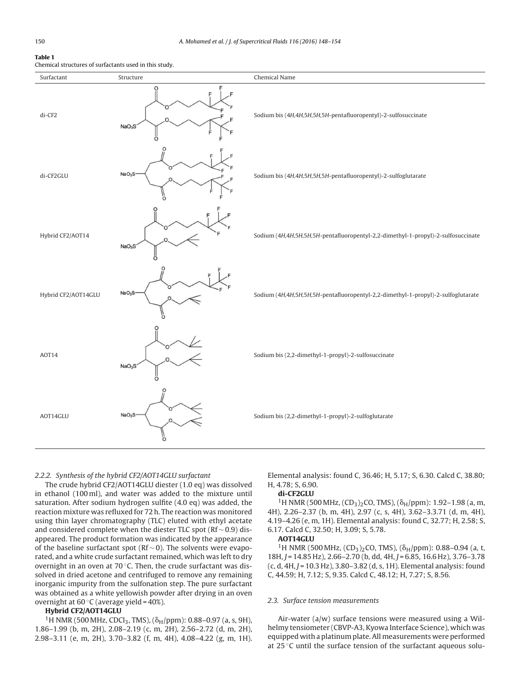## <span id="page-2-0"></span>**Table 1**

Chemical structures of surfactants used in this study.

| Surfactant          | Structure                          | Chemical Name                                                                    |  |  |
|---------------------|------------------------------------|----------------------------------------------------------------------------------|--|--|
| di-CF2              | O<br>NaO <sub>3</sub> S            | Sodium bis (4H,4H,5H,5H,5H-pentafluoropentyl)-2-sulfosuccinate                   |  |  |
| di-CF2GLU           | NaO <sub>3</sub> S                 | Sodium bis (4H,4H,5H,5H,5H-pentafluoropentyl)-2-sulfoglutarate                   |  |  |
| Hybrid CF2/AOT14    | NaO <sub>3</sub> S<br>Ĉ            | Sodium (4H,4H,5H,5H,5H-pentafluoropentyl-2,2-dimethyl-1-propyl)-2-sulfosuccinate |  |  |
| Hybrid CF2/AOT14GLU | O<br>റ<br>NaO <sub>3</sub> S       | Sodium (4H,4H,5H,5H,5H-pentafluoropentyl-2,2-dimethyl-1-propyl)-2-sulfoglutarate |  |  |
| AOT14               | NaO <sub>3</sub> S<br>O            | Sodium bis (2,2-dimethyl-1-propyl)-2-sulfosuccinate                              |  |  |
| AOT14GLU            | $\circ$<br>NaO <sub>3</sub> S<br>ő | Sodium bis (2,2-dimethyl-1-propyl)-2-sulfoglutarate                              |  |  |

### 2.2.2. Synthesis of the hybrid CF2/AOT14GLU surfactant

The crude hybrid CF2/AOT14GLU diester (1.0 eq) was dissolved in ethanol (100 ml), and water was added to the mixture until saturation. After sodium hydrogen sulfite (4.0 eq) was added, the reaction mixture was refluxed for 72 h. The reaction was monitored using thin layer chromatography (TLC) eluted with ethyl acetate and considered complete when the diester TLC spot (Rf ∼ 0.9) disappeared. The product formation was indicated by the appearance of the baseline surfactant spot ( $Rf \sim 0$ ). The solvents were evaporated, and a white crude surfactant remained, which was left to dry overnight in an oven at 70 ◦C. Then, the crude surfactant was dissolved in dried acetone and centrifuged to remove any remaining inorganic impurity from the sulfonation step. The pure surfactant was obtained as a white yellowish powder after drying in an oven overnight at  $60^{\circ}$ C (average yield =  $40\%$ ).

## **Hybrid CF2/AOT14GLU**

<sup>1</sup>H NMR (500 MHz, CDCl<sub>3</sub>, TMS), ( $\delta$ <sub>H</sub>/ppm): 0.88–0.97 (a, s, 9H), 1.86–1.99 (b, m, 2H), 2.08–2.19 (c, m, 2H), 2.56–2.72 (d, m, 2H), 2.98–3.11 (e, m, 2H), 3.70–3.82 (f, m, 4H), 4.08–4.22 (g, m, 1H). Elemental analysis: found C, 36.46; H, 5.17; S, 6.30. Calcd C, 38.80; H, 4.78; S, 6.90.

## **di-CF2GLU**

<sup>1</sup>H NMR (500 MHz,  $(CD_3)_2CO$ , TMS),  $(\delta_H/ppm)$ : 1.92–1.98 (a, m, 4H), 2.26–2.37 (b, m, 4H), 2.97 (c, s, 4H), 3.62–3.3.71 (d, m, 4H), 4.19–4.26 (e, m, 1H). Elemental analysis: found C, 32.77; H, 2.58; S, 6.17. Calcd C, 32.50; H, 3.09; S, 5.78.

### **AOT14GLU**

<sup>1</sup>H NMR (500 MHz,  $(CD_3)_2CO$ , TMS),  $(\delta_H/ppm)$ : 0.88-0.94 (a, t, 18H, J = 14.85 Hz), 2.66-2.70 (b, dd, 4H, J = 6.85, 16.6 Hz), 3.76-3.78  $(c, d, 4H, J = 10.3 Hz)$ , 3.80-3.82  $(d, s, 1H)$ . Elemental analysis: found C, 44.59; H, 7.12; S, 9.35. Calcd C, 48.12; H, 7.27; S, 8.56.

## 2.3. Surface tension measurements

Air-water (a/w) surface tensions were measured using a Wilhelmy tensiometer (CBVP-A3, Kyowa Interface Science), which was equipped with a platinum plate.All measurements were performed at 25  $\degree$ C until the surface tension of the surfactant aqueous solu-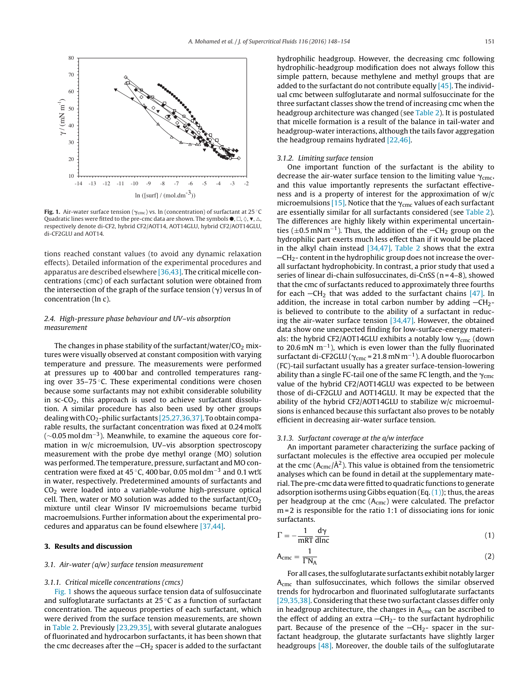

**Fig. 1.** Air-water surface tension ( $\gamma_{\rm cmc}$ ) vs. ln (concentration) of surfactant at 25  $^{\circ}$ C Quadratic lines were fitted to the pre-cmc data are shown. The symbols  $\bullet$ ,  $\Box$ ,  $\Diamond$ ,  $\blacktriangledown$ ,  $\triangle$ , respectively denote di-CF2, hybrid CF2/AOT14, AOT14GLU, hybrid CF2/AOT14GLU, di-CF2GLU and AOT14.

tions reached constant values (to avoid any dynamic relaxation effects). Detailed information of the experimental procedures and apparatus are described elsewhere [\[36,43\].](#page-6-0) The critical micelle concentrations (cmc) of each surfactant solution were obtained from the intersection of the graph of the surface tension ( $\gamma$ ) versus ln of concentration (ln c).

# 2.4. High-pressure phase behaviour and UV–vis absorption measurement

The changes in phase stability of the surfactant/water/ $CO<sub>2</sub>$  mixtures were visually observed at constant composition with varying temperature and pressure. The measurements were performed at pressures up to 400 bar and controlled temperatures ranging over 35–75 ◦C. These experimental conditions were chosen because some surfactants may not exhibit considerable solubility in  $sc$ - $CO<sub>2</sub>$ , this approach is used to achieve surfactant dissolution. A similar procedure has also been used by other groups dealing with  $CO_2$ -philic surfactants [\[25,27,36,37\].](#page-6-0) To obtain comparable results, the surfactant concentration was fixed at 0.24 mol%  $(\sim 0.05 \,\mathrm{mol}\,\mathrm{dm}^{-3})$ . Meanwhile, to examine the aqueous core formation in w/c microemulsion, UV–vis absorption spectroscopy measurement with the probe dye methyl orange (MO) solution was performed. The temperature, pressure, surfactant and MO concentration were fixed at 45 ◦C, 400 bar, 0.05 mol dm−<sup>3</sup> and 0.1 wt% in water, respectively. Predetermined amounts of surfactants and  $CO<sub>2</sub>$  were loaded into a variable-volume high-pressure optical cell. Then, water or MO solution was added to the surfactant/ $CO<sub>2</sub>$ mixture until clear Winsor IV microemulsions became turbid macroemulsions. Further information about the experimental procedures and apparatus can be found elsewhere [\[37,44\].](#page-6-0)

# **3. Results and discussion**

## 3.1. Air-water (a/w) surface tension measurement

## 3.1.1. Critical micelle concentrations (cmcs)

Fig. 1 shows the aqueous surface tension data of sulfosuccinate and sulfoglutarate surfactants at 25 ◦C as a function of surfactant concentration. The aqueous properties of each surfactant, which were derived from the surface tension measurements, are shown in [Table](#page-4-0) 2. Previously [\[23,29,35\],](#page-6-0) with several glutarate analogues of fluorinated and hydrocarbon surfactants, it has been shown that the cmc decreases after the  $-CH<sub>2</sub>$  spacer is added to the surfactant

hydrophilic headgroup. However, the decreasing cmc following hydrophilic-headgroup modification does not always follow this simple pattern, because methylene and methyl groups that are added to the surfactant do not contribute equally  $[45]$ . The individual cmc between sulfoglutarate and normal sulfosuccinate for the three surfactant classes show the trend of increasing cmc when the headgroup architecture was changed (see [Table](#page-4-0) 2). It is postulated that micelle formation is a result of the balance in tail-water and headgroup-water interactions, although the tails favor aggregation the headgroup remains hydrated [\[22,46\].](#page-6-0)

## 3.1.2. Limiting surface tension

One important function of the surfactant is the ability to decrease the air-water surface tension to the limiting value  $\gamma_{\rm cmc}$ , and this value importantly represents the surfactant effectiveness and is a property of interest for the approximation of w/c microemulsions [\[15\].](#page-6-0) Notice that the  $\gamma_{\text{cmc}}$  values of each surfactant are essentially similar for all surfactants considered (see [Table](#page-4-0) 2). The differences are highly likely within experimental uncertainties ( $\pm$ 0.5 mN m<sup>-1</sup>). Thus, the addition of the  $-\text{CH}_2$  group on the hydrophilic part exerts much less effect than if it would be placed in the alkyl chain instead  $[34,47]$ . [Table](#page-4-0) 2 shows that the extra  $-CH<sub>2</sub>$ - content in the hydrophilic group does not increase the overall surfactant hydrophobicity. In contrast, a prior study that used a series of linear di-chain sulfosuccinates, di-CnSS (n = 4-8), showed that the cmc of surfactants reduced to approximately three fourths for each  $-CH_2$  that was added to the surfactant chains [\[47\].](#page-6-0) In addition, the increase in total carbon number by adding  $-CH<sub>2</sub>$ is believed to contribute to the ability of a surfactant in reducing the air-water surface tension [\[34,47\].](#page-6-0) However, the obtained data show one unexpected finding for low-surface-energy materials: the hybrid CF2/AOT14GLU exhibits a notably low  $\gamma_{\rm cmc}$  (down to 20.6 mN m−1), which is even lower than the fully fluorinated surfactant di-CF2GLU ( $\gamma_{\text{cmc}}$  = 21.8 mN m<sup>-1</sup>). A double fluorocarbon (FC)-tail surfactant usually has a greater surface-tension-lowering ability than a single FC-tail one of the same FC length, and the  $\gamma_{\rm cmc}$ value of the hybrid CF2/AOT14GLU was expected to be between those of di-CF2GLU and AOT14GLU. It may be expected that the ability of the hybrid CF2/AOT14GLU to stabilize w/c microemulsions is enhanced because this surfactant also proves to be notably efficient in decreasing air-water surface tension.

## 3.1.3. Surfactant coverage at the a/w interface

An important parameter characterizing the surface packing of surfactant molecules is the effective area occupied per molecule at the cmc ( $A_{\text{cmc}}/\text{\AA}^2$ ). This value is obtained from the tensiometric analyses which can be found in detail at the supplementary material. The pre-cmc data were fitted to quadratic functions to generate adsorption isotherms using Gibbs equation (Eq.  $(1)$ ); thus, the areas per headgroup at the cmc (A<sub>cmc</sub>) were calculated. The prefactor m = 2 is responsible for the ratio 1:1 of dissociating ions for ionic surfactants.

$$
\Gamma = -\frac{1}{mRT} \frac{d\gamma}{d\ln c} \tag{1}
$$

$$
A_{\rm cmc} = \frac{1}{\Gamma N_{\rm A}}\tag{2}
$$

For all cases, the sulfoglutarate surfactants exhibit notably larger A<sub>cmc</sub> than sulfosuccinates, which follows the similar observed trends for hydrocarbon and fluorinated sulfoglutarate surfactants [\[29,35,38\].](#page-6-0) Considering that these two surfactant classes differ only in headgroup architecture, the changes in  $A<sub>cmc</sub>$  can be ascribed to the effect of adding an extra  $-CH_2$ - to the surfactant hydrophilic part. Because of the presence of the  $-CH_2$ - spacer in the surfactant headgroup, the glutarate surfactants have slightly larger headgroups  $[48]$ . Moreover, the double tails of the sulfoglutarate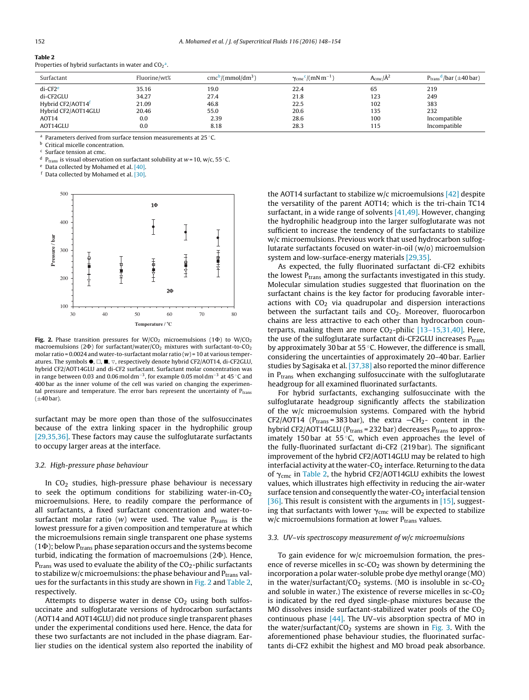# <span id="page-4-0"></span>**Table 2**

Properties of hybrid surfactants in water and  $\mathsf{CO_2}^{\mathsf{a}}.$ 

| Surfactant                    | Fluorine/wt% | $\text{cmc}^{\text{b}}$ /(mmol/dm <sup>3</sup> ) | $\gamma_{\text{cmc}}^{\text{c}}/(mN m^{-1})$ | $A_{\text{cmc}}/\AA^2$ | $P_{trans}$ <sup>d</sup> /bar ( $\pm$ 40 bar) |
|-------------------------------|--------------|--------------------------------------------------|----------------------------------------------|------------------------|-----------------------------------------------|
| $di$ -CF2 $e$                 | 35.16        | 19.0                                             | 22.4                                         | 65                     | 219                                           |
| di-CF2GLU                     | 34.27        | 27.4                                             | 21.8                                         | 123                    | 249                                           |
| Hybrid CF2/AOT14 <sup>f</sup> | 21.09        | 46.8                                             | 22.5                                         | 102                    | 383                                           |
| Hybrid CF2/AOT14GLU           | 20.46        | 55.0                                             | 20.6                                         | 135                    | 232                                           |
| AOT <sub>14</sub>             | 0.0          | 2.39                                             | 28.6                                         | 100                    | Incompatible                                  |
| AOT14GLU                      | 0.0          | 8.18                                             | 28.3                                         | 115                    | Incompatible                                  |

<sup>a</sup> Parameters derived from surface tension measurements at 25 ◦C.

**b** Critical micelle concentration.

<sup>c</sup> Surface tension at cmc.

<sup>d</sup> P<sub>trans</sub> is visual observation on surfactant solubility at w = 10, w/c, 55 °C.

<sup>e</sup> Data collected by Mohamed et al. [\[40\].](#page-6-0)

<sup>f</sup> Data collected by Mohamed et al. [\[30\].](#page-6-0)



Fig. 2. Phase transition pressures for  $W/CO_2$  microemulsions (1 $\Phi$ ) to  $W/CO_2$ macroemulsions (2 $\Phi$ ) for surfactant/water/CO<sub>2</sub> mixtures with surfactant-to-CO<sub>2</sub> molar ratio =  $0.0024$  and water-to-surfactant molar ratio ( $w$ ) = 10 at various temperatures. The symbols ●, □, ■, ▽, respectively denote hybrid CF2/AOT14, di-CF2GLU, hybrid CF2/AOT14GLU and di-CF2 surfactant. Surfactant molar concentration was in range between 0.03 and 0.06 mol dm−3, for example 0.05 mol dm−<sup>3</sup> at 45 ◦C and 400 bar as the inner volume of the cell was varied on changing the experimental pressure and temperature. The error bars represent the uncertainty of  $P_{trans}$  $(\pm 40$  bar).

surfactant may be more open than those of the sulfosuccinates because of the extra linking spacer in the hydrophilic group [\[29,35,36\].](#page-6-0) These factors may cause the sulfoglutarate surfactants to occupy larger areas at the interface.

## 3.2. High-pressure phase behaviour

In CO<sub>2</sub> studies, high-pressure phase behaviour is necessary to seek the optimum conditions for stabilizing water-in- $CO<sub>2</sub>$ microemulsions. Here, to readily compare the performance of all surfactants, a fixed surfactant concentration and water-tosurfactant molar ratio (w) were used. The value  $P_{trans}$  is the lowest pressure for a given composition and temperature at which the microemulsions remain single transparent one phase systems  $(1\Phi)$ ; below P<sub>trans</sub> phase separation occurs and the systems become turbid, indicating the formation of macroemulsions (2Ф). Hence,  $P_{trans}$  was used to evaluate the ability of the  $CO_2$ -philic surfactants to stabilize w/c microemulsions: the phase behaviour and  $P_{trans}$  values for the surfactants in this study are shown in Fig. 2 and Table 2, respectively.

Attempts to disperse water in dense  $CO<sub>2</sub>$  using both sulfosuccinate and sulfoglutarate versions of hydrocarbon surfactants (AOT14 and AOT14GLU) did not produce single transparent phases under the experimental conditions used here. Hence, the data for these two surfactants are not included in the phase diagram. Earlier studies on the identical system also reported the inability of

the AOT14 surfactant to stabilize  $w/c$  microemulsions [\[42\]](#page-6-0) despite the versatility of the parent AOT14; which is the tri-chain TC14 surfactant, in a wide range of solvents [\[41,49\].](#page-6-0) However, changing the hydrophilic headgroup into the larger sulfoglutarate was not sufficient to increase the tendency of the surfactants to stabilize w/c microemulsions. Previous work that used hydrocarbon sulfoglutarate surfactants focused on water-in-oil (w/o) microemulsion system and low-surface-energy materials [\[29,35\].](#page-6-0)

As expected, the fully fluorinated surfactant di-CF2 exhibits the lowest  $P_{trans}$  among the surfactants investigated in this study. Molecular simulation studies suggested that fluorination on the surfactant chains is the key factor for producing favorable interactions with  $CO<sub>2</sub>$  via quadrupolar and dispersion interactions between the surfactant tails and  $CO<sub>2</sub>$ . Moreover, fluorocarbon chains are less attractive to each other than hydrocarbon counterparts, making them are more  $CO_2$ -philic  $[13-15,31,40]$ . Here, the use of the sulfoglutarate surfactant di-CF2GLU increases  $P_{trans}$ by approximately 30 bar at 55 ℃. However, the difference is small, considering the uncertainties of approximately 20–40 bar. Earlier studies by Sagisaka et al. [\[37,38\]](#page-6-0) also reported the minor difference in  $P_{trans}$  when exchanging sulfosuccinate with the sulfoglutarate headgroup for all examined fluorinated surfactants.

For hybrid surfactants, exchanging sulfosuccinate with the sulfoglutarate headgroup significantly affects the stabilization of the w/c microemulsion systems. Compared with the hybrid CF2/AOT14 ( $P_{trans}$  = 383 bar), the extra  $-CH_2$ - content in the hybrid CF2/AOT14GLU ( $P_{trans}$  = 232 bar) decreases  $P_{trans}$  to approximately 150 bar at 55 $°C$ , which even approaches the level of the fully-fluorinated surfactant di-CF2 (219 bar). The significant improvement of the hybrid CF2/AOT14GLU may be related to high interfacial activity at the water- $CO<sub>2</sub>$  interface. Returning to the data of  $\gamma_{\rm cmc}$  in Table 2, the hybrid CF2/AOT14GLU exhibits the lowest values, which illustrates high effectivity in reducing the air-water surface tension and consequently the water-CO<sub>2</sub> interfacial tension [\[36\].](#page-6-0) This result is consistent with the arguments in [\[15\],](#page-6-0) suggesting that surfactants with lower  $\gamma_{\rm cmc}$  will be expected to stabilize  $w/c$  microemulsions formation at lower  $P_{trans}$  values.

## 3.3. UV–vis spectroscopy measurement of w/c microemulsions

To gain evidence for w/c microemulsion formation, the presence of reverse micelles in  $sc$ -CO<sub>2</sub> was shown by determining the incorporation a polar water-soluble probe dye methyl orange (MO) in the water/surfactant/ $CO<sub>2</sub>$  systems. (MO is insoluble in sc- $CO<sub>2</sub>$ and soluble in water.) The existence of reverse micelles in  $sc$ - $CO<sub>2</sub>$ is indicated by the red dyed single-phase mixtures because the MO dissolves inside surfactant-stabilized water pools of the  $CO<sub>2</sub>$ continuous phase  $[44]$ . The UV–vis absorption spectra of MO in the water/surfactant/ $CO<sub>2</sub>$  systems are shown in [Fig.](#page-5-0) 3. With the aforementioned phase behaviour studies, the fluorinated surfactants di-CF2 exhibit the highest and MO broad peak absorbance.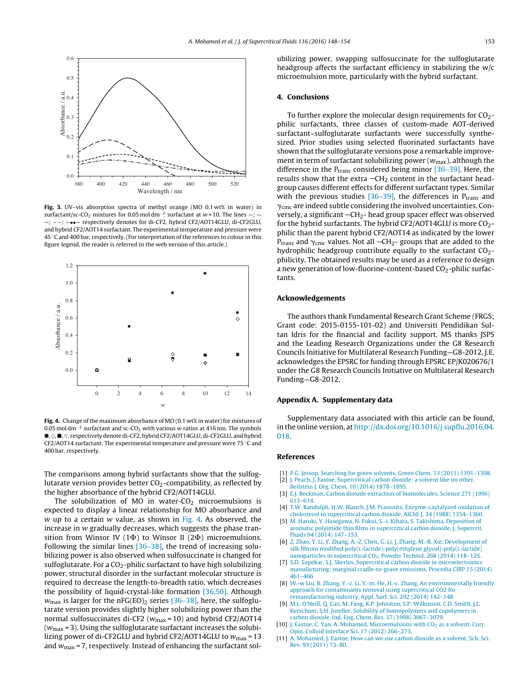<span id="page-5-0"></span>

**Fig. 3.** UV–vis absorption spectra of methyl orange (MO 0.1 wt% in water) in surfactant/sc-CO<sub>2</sub> mixtures for 0.05 mol dm<sup>-3</sup> surfactant at w=10. The lines — —; – –; —••— respectively denotes for di-CF2, hybrid CF2/AOT14GLU, di-CF2GLU, and hybrid CF2/AOT14 surfactant. The experimental temperature and pressure were 45 ◦C and 400 bar, respectively. (For interpretation of the references to colour in this figure legend, the reader is referred to the web version of this article.)



**Fig. 4.** Change of the maximum absorbance of MO (0.1 wt% in water) for mixtures of 0.05 mol dm<sup>-3</sup> surfactant and sc-CO<sub>2</sub> with various w ratios at 416 nm. The symbols  $\bullet$ ,  $\Diamond$ ,  $\blacksquare$ ,  $\triangledown$ , respectively denote di-CF2, hybrid CF2/AOT14GLU, di-CF2GLU, and hybrid CF2/AOT14 surfactant. The experimental temperature and pressure were 75 ◦C and 400 bar, respectively.

The comparisons among hybrid surfactants show that the sulfoglutarate version provides better  $CO<sub>2</sub>$ -compatibility, as reflected by the higher absorbance of the hybrid CF2/AOT14GLU.

The solubilization of MO in water- $CO<sub>2</sub>$  microemulsions is expected to display a linear relationship for MO absorbance and w up to a certain  $w$  value, as shown in Fig. 4. As observed, the increase in w gradually decreases, which suggests the phase transition from Winsor IV (1 $\Phi$ ) to Winsor II (2 $\Phi$ ) microemulsions. Following the similar lines [\[36–38\],](#page-6-0) the trend of increasing solubilizing power is also observed when sulfosuccinate is changed for sulfoglutarate. For a  $CO<sub>2</sub>$ -philic surfactant to have high solubilizing power, structural disorder in the surfactant molecular structure is required to decrease the length-to-breadth ratio, which decreases the possibility of liquid-crystal-like formation [\[36,50\].](#page-6-0) Although  $w_{\text{max}}$  is larger for the nFG(EO)<sub>2</sub> series [\[36–38\],](#page-6-0) here, the sulfoglutarate version provides slightly higher solubilizing power than the normal sulfosuccinates di-CF2 ( $w_{\text{max}}$  = 10) and hybrid CF2/AOT14  $(w<sub>max</sub> = 3)$ . Using the sulfoglutarate surfactant increases the solubilizing power of di-CF2GLU and hybrid CF2/AOT14GLU to  $w_{\text{max}} = 13$ and  $w_{\text{max}}$  = 7, respectively. Instead of enhancing the surfactant solubilizing power, swapping sulfosuccinate for the sulfoglutarate headgroup affects the surfactant efficiency in stabilizing the w/c microemulsion more, particularly with the hybrid surfactant.

## **4. Conclusions**

To further explore the molecular design requirements for  $CO<sub>2</sub>$ philic surfactants, three classes of custom-made AOT-derived surfactant–sulfoglutarate surfactants were successfully synthesized. Prior studies using selected fluorinated surfactants have shown that the sulfoglutarate versions pose a remarkable improvement in term of surfactant solubilizing power ( $w_{\text{max}}$ ), although the difference in the  $P_{trans}$  considered being minor  $[36-39]$ . Here, the results show that the extra  $-\text{CH}_2$  content in the surfactant headgroup causes different effects for different surfactant types. Similar with the previous studies  $[36-39]$ , the differences in P<sub>trans</sub> and  $\gamma_{\rm cmc}$  are indeed subtle considering the involved uncertainties. Conversely, a significant  $-CH<sub>2</sub>$ - head group spacer effect was observed for the hybrid surfactants. The hybrid  $CF2/AOT14GLU$  is more  $CO<sub>2</sub>$ philic than the parent hybrid CF2/AOT14 as indicated by the lower P<sub>trans</sub> and  $\gamma_{\text{cmc}}$  values. Not all —CH<sub>2</sub>- groups that are added to the hydrophilic headgroup contribute equally to the surfactant  $CO<sub>2</sub>$ philicity. The obtained results may be used as a reference to design a new generation of low-fluorine-content-based  $CO_2$ -philic surfactants.

## **Acknowledgements**

The authors thank Fundamental Research Grant Scheme (FRGS; Grant code: 2015-0155-101-02) and Universiti Pendidikan Sultan Idris for the financial and facility support. MS thanks JSPS and the Leading Research Organizations under the G8 Research Councils Initiative for Multilateral Research Funding—G8-2012. J.E. acknowledges the EPSRC for funding through EPSRC EP/K020676/1 under the G8 Research Councils Initiative on Multilateral Research Funding—G8-2012.

## **Appendix A. Supplementary data**

Supplementary data associated with this article can be found, in the online version, at [http://dx.doi.org/10.1016/j.supflu.2016.04.](http://dx.doi.org/10.1016/j.supflu.2016.04.018) [018.](http://dx.doi.org/10.1016/j.supflu.2016.04.018)

#### **References**

- [1] [P.G.](http://refhub.elsevier.com/S0896-8446(16)30102-4/sbref0005) [Jessop,](http://refhub.elsevier.com/S0896-8446(16)30102-4/sbref0005) [Searching](http://refhub.elsevier.com/S0896-8446(16)30102-4/sbref0005) [for](http://refhub.elsevier.com/S0896-8446(16)30102-4/sbref0005) [green](http://refhub.elsevier.com/S0896-8446(16)30102-4/sbref0005) [solvents,](http://refhub.elsevier.com/S0896-8446(16)30102-4/sbref0005) [Green](http://refhub.elsevier.com/S0896-8446(16)30102-4/sbref0005) [Chem.](http://refhub.elsevier.com/S0896-8446(16)30102-4/sbref0005) [13](http://refhub.elsevier.com/S0896-8446(16)30102-4/sbref0005) [\(2011\)](http://refhub.elsevier.com/S0896-8446(16)30102-4/sbref0005) 1391-1398.
- [2] [J.](http://refhub.elsevier.com/S0896-8446(16)30102-4/sbref0010) [Peach,](http://refhub.elsevier.com/S0896-8446(16)30102-4/sbref0010) J. [Eastoe,](http://refhub.elsevier.com/S0896-8446(16)30102-4/sbref0010) [Supercritical](http://refhub.elsevier.com/S0896-8446(16)30102-4/sbref0010) [carbon](http://refhub.elsevier.com/S0896-8446(16)30102-4/sbref0010) [dioxide:](http://refhub.elsevier.com/S0896-8446(16)30102-4/sbref0010) [a](http://refhub.elsevier.com/S0896-8446(16)30102-4/sbref0010) [solvent](http://refhub.elsevier.com/S0896-8446(16)30102-4/sbref0010) [like](http://refhub.elsevier.com/S0896-8446(16)30102-4/sbref0010) [no](http://refhub.elsevier.com/S0896-8446(16)30102-4/sbref0010) [other,](http://refhub.elsevier.com/S0896-8446(16)30102-4/sbref0010)
- [Beilstein](http://refhub.elsevier.com/S0896-8446(16)30102-4/sbref0010) [J.](http://refhub.elsevier.com/S0896-8446(16)30102-4/sbref0010) [Org.](http://refhub.elsevier.com/S0896-8446(16)30102-4/sbref0010) [Chem.](http://refhub.elsevier.com/S0896-8446(16)30102-4/sbref0010) [10](http://refhub.elsevier.com/S0896-8446(16)30102-4/sbref0010) [\(2014\)](http://refhub.elsevier.com/S0896-8446(16)30102-4/sbref0010) [1878](http://refhub.elsevier.com/S0896-8446(16)30102-4/sbref0010)–[1895.](http://refhub.elsevier.com/S0896-8446(16)30102-4/sbref0010)
- [3] [E.J.](http://refhub.elsevier.com/S0896-8446(16)30102-4/sbref0015) [Beckman,](http://refhub.elsevier.com/S0896-8446(16)30102-4/sbref0015) [Carbon](http://refhub.elsevier.com/S0896-8446(16)30102-4/sbref0015) [dioxide](http://refhub.elsevier.com/S0896-8446(16)30102-4/sbref0015) [extraction](http://refhub.elsevier.com/S0896-8446(16)30102-4/sbref0015) [of](http://refhub.elsevier.com/S0896-8446(16)30102-4/sbref0015) [biomolecules,](http://refhub.elsevier.com/S0896-8446(16)30102-4/sbref0015) [Science](http://refhub.elsevier.com/S0896-8446(16)30102-4/sbref0015) [271](http://refhub.elsevier.com/S0896-8446(16)30102-4/sbref0015) [\(](http://refhub.elsevier.com/S0896-8446(16)30102-4/sbref0015)[1996](http://refhub.elsevier.com/S0896-8446(16)30102-4/sbref0015)[\)](http://refhub.elsevier.com/S0896-8446(16)30102-4/sbref0015) [613](http://refhub.elsevier.com/S0896-8446(16)30102-4/sbref0015)–[614.](http://refhub.elsevier.com/S0896-8446(16)30102-4/sbref0015)
- [4] [T.W.](http://refhub.elsevier.com/S0896-8446(16)30102-4/sbref0020) [Randolph,](http://refhub.elsevier.com/S0896-8446(16)30102-4/sbref0020) [H.W.](http://refhub.elsevier.com/S0896-8446(16)30102-4/sbref0020) [Blanch,](http://refhub.elsevier.com/S0896-8446(16)30102-4/sbref0020) [J.M.](http://refhub.elsevier.com/S0896-8446(16)30102-4/sbref0020) [Prausnitz,](http://refhub.elsevier.com/S0896-8446(16)30102-4/sbref0020) [Enzyme-caytalyzed](http://refhub.elsevier.com/S0896-8446(16)30102-4/sbref0020) [oxidation](http://refhub.elsevier.com/S0896-8446(16)30102-4/sbref0020) [of](http://refhub.elsevier.com/S0896-8446(16)30102-4/sbref0020) [cholesterol](http://refhub.elsevier.com/S0896-8446(16)30102-4/sbref0020) [in](http://refhub.elsevier.com/S0896-8446(16)30102-4/sbref0020) [supercritical](http://refhub.elsevier.com/S0896-8446(16)30102-4/sbref0020) [carbon](http://refhub.elsevier.com/S0896-8446(16)30102-4/sbref0020) [dioxide,](http://refhub.elsevier.com/S0896-8446(16)30102-4/sbref0020) [AIChE](http://refhub.elsevier.com/S0896-8446(16)30102-4/sbref0020) [J.](http://refhub.elsevier.com/S0896-8446(16)30102-4/sbref0020) [34](http://refhub.elsevier.com/S0896-8446(16)30102-4/sbref0020) [\(1988\)](http://refhub.elsevier.com/S0896-8446(16)30102-4/sbref0020) [1354](http://refhub.elsevier.com/S0896-8446(16)30102-4/sbref0020)–[1360.](http://refhub.elsevier.com/S0896-8446(16)30102-4/sbref0020)
- [5] [M.](http://refhub.elsevier.com/S0896-8446(16)30102-4/sbref0025) [Haruki,](http://refhub.elsevier.com/S0896-8446(16)30102-4/sbref0025) [Y.](http://refhub.elsevier.com/S0896-8446(16)30102-4/sbref0025) [Hasegawa,](http://refhub.elsevier.com/S0896-8446(16)30102-4/sbref0025) [N.](http://refhub.elsevier.com/S0896-8446(16)30102-4/sbref0025) [Fukui,](http://refhub.elsevier.com/S0896-8446(16)30102-4/sbref0025) [S.-i.](http://refhub.elsevier.com/S0896-8446(16)30102-4/sbref0025) [Kihara,](http://refhub.elsevier.com/S0896-8446(16)30102-4/sbref0025) [S.](http://refhub.elsevier.com/S0896-8446(16)30102-4/sbref0025) [Takishima,](http://refhub.elsevier.com/S0896-8446(16)30102-4/sbref0025) [Deposition](http://refhub.elsevier.com/S0896-8446(16)30102-4/sbref0025) [of](http://refhub.elsevier.com/S0896-8446(16)30102-4/sbref0025) [aromatic](http://refhub.elsevier.com/S0896-8446(16)30102-4/sbref0025) [polyimide](http://refhub.elsevier.com/S0896-8446(16)30102-4/sbref0025) [thin](http://refhub.elsevier.com/S0896-8446(16)30102-4/sbref0025) [films](http://refhub.elsevier.com/S0896-8446(16)30102-4/sbref0025) [in](http://refhub.elsevier.com/S0896-8446(16)30102-4/sbref0025) [supercritical](http://refhub.elsevier.com/S0896-8446(16)30102-4/sbref0025) [carbon](http://refhub.elsevier.com/S0896-8446(16)30102-4/sbref0025) [dioxide,](http://refhub.elsevier.com/S0896-8446(16)30102-4/sbref0025) [J.](http://refhub.elsevier.com/S0896-8446(16)30102-4/sbref0025) [Supercrit.](http://refhub.elsevier.com/S0896-8446(16)30102-4/sbref0025) [Fluids](http://refhub.elsevier.com/S0896-8446(16)30102-4/sbref0025) [94](http://refhub.elsevier.com/S0896-8446(16)30102-4/sbref0025) [\(2014\)](http://refhub.elsevier.com/S0896-8446(16)30102-4/sbref0025) [147–153.](http://refhub.elsevier.com/S0896-8446(16)30102-4/sbref0025)
- [6] [Z.](http://refhub.elsevier.com/S0896-8446(16)30102-4/sbref0030) [Zhao,](http://refhub.elsevier.com/S0896-8446(16)30102-4/sbref0030) [Y.](http://refhub.elsevier.com/S0896-8446(16)30102-4/sbref0030) [Li,](http://refhub.elsevier.com/S0896-8446(16)30102-4/sbref0030) [Y.](http://refhub.elsevier.com/S0896-8446(16)30102-4/sbref0030) [Zhang,](http://refhub.elsevier.com/S0896-8446(16)30102-4/sbref0030) [A.-Z.](http://refhub.elsevier.com/S0896-8446(16)30102-4/sbref0030) [Chen,](http://refhub.elsevier.com/S0896-8446(16)30102-4/sbref0030) [G.](http://refhub.elsevier.com/S0896-8446(16)30102-4/sbref0030) [Li,](http://refhub.elsevier.com/S0896-8446(16)30102-4/sbref0030) [J.](http://refhub.elsevier.com/S0896-8446(16)30102-4/sbref0030) [Zhang,](http://refhub.elsevier.com/S0896-8446(16)30102-4/sbref0030) [M.-B.](http://refhub.elsevier.com/S0896-8446(16)30102-4/sbref0030) [Xie,](http://refhub.elsevier.com/S0896-8446(16)30102-4/sbref0030) [Development](http://refhub.elsevier.com/S0896-8446(16)30102-4/sbref0030) [of](http://refhub.elsevier.com/S0896-8446(16)30102-4/sbref0030) [silk](http://refhub.elsevier.com/S0896-8446(16)30102-4/sbref0030) [fibroin](http://refhub.elsevier.com/S0896-8446(16)30102-4/sbref0030) [modified](http://refhub.elsevier.com/S0896-8446(16)30102-4/sbref0030) [poly\(](http://refhub.elsevier.com/S0896-8446(16)30102-4/sbref0030)L-[l](http://refhub.elsevier.com/S0896-8446(16)30102-4/sbref0030)actide)-poly(ethylene [glycol\)-poly\(](http://refhub.elsevier.com/S0896-8446(16)30102-4/sbref0030)L[-lactide\)](http://refhub.elsevier.com/S0896-8446(16)30102-4/sbref0030) [nanoparticles](http://refhub.elsevier.com/S0896-8446(16)30102-4/sbref0030) [in](http://refhub.elsevier.com/S0896-8446(16)30102-4/sbref0030) [supercritical](http://refhub.elsevier.com/S0896-8446(16)30102-4/sbref0030)  $CO<sub>2</sub>$ , [Powder](http://refhub.elsevier.com/S0896-8446(16)30102-4/sbref0030) [Technol.](http://refhub.elsevier.com/S0896-8446(16)30102-4/sbref0030) [268](http://refhub.elsevier.com/S0896-8446(16)30102-4/sbref0030) [\(2014\)](http://refhub.elsevier.com/S0896-8446(16)30102-4/sbref0030) [118](http://refhub.elsevier.com/S0896-8446(16)30102-4/sbref0030)-[125.](http://refhub.elsevier.com/S0896-8446(16)30102-4/sbref0030)
- [7] [S.D.](http://refhub.elsevier.com/S0896-8446(16)30102-4/sbref0035) [Supekar,](http://refhub.elsevier.com/S0896-8446(16)30102-4/sbref0035) [S.J.](http://refhub.elsevier.com/S0896-8446(16)30102-4/sbref0035) [Skerlos,](http://refhub.elsevier.com/S0896-8446(16)30102-4/sbref0035) [Supercritical](http://refhub.elsevier.com/S0896-8446(16)30102-4/sbref0035) [carbon](http://refhub.elsevier.com/S0896-8446(16)30102-4/sbref0035) [dioxide](http://refhub.elsevier.com/S0896-8446(16)30102-4/sbref0035) [in](http://refhub.elsevier.com/S0896-8446(16)30102-4/sbref0035) [microelectronics](http://refhub.elsevier.com/S0896-8446(16)30102-4/sbref0035) [manufacturing:](http://refhub.elsevier.com/S0896-8446(16)30102-4/sbref0035) [marginal](http://refhub.elsevier.com/S0896-8446(16)30102-4/sbref0035) [cradle-to-grave](http://refhub.elsevier.com/S0896-8446(16)30102-4/sbref0035) [emissions,](http://refhub.elsevier.com/S0896-8446(16)30102-4/sbref0035) [Procedia](http://refhub.elsevier.com/S0896-8446(16)30102-4/sbref0035) [CIRP](http://refhub.elsevier.com/S0896-8446(16)30102-4/sbref0035) [15](http://refhub.elsevier.com/S0896-8446(16)30102-4/sbref0035) [\(2014\)](http://refhub.elsevier.com/S0896-8446(16)30102-4/sbref0035) [461](http://refhub.elsevier.com/S0896-8446(16)30102-4/sbref0035)–[466.](http://refhub.elsevier.com/S0896-8446(16)30102-4/sbref0035)
- [8] [W.-w](http://refhub.elsevier.com/S0896-8446(16)30102-4/sbref0040) [Liu,](http://refhub.elsevier.com/S0896-8446(16)30102-4/sbref0040) [B.](http://refhub.elsevier.com/S0896-8446(16)30102-4/sbref0040) [Zhang,](http://refhub.elsevier.com/S0896-8446(16)30102-4/sbref0040) [Y.-z.](http://refhub.elsevier.com/S0896-8446(16)30102-4/sbref0040) [Li,](http://refhub.elsevier.com/S0896-8446(16)30102-4/sbref0040) [Y.-m.](http://refhub.elsevier.com/S0896-8446(16)30102-4/sbref0040) [He,](http://refhub.elsevier.com/S0896-8446(16)30102-4/sbref0040) [H.-c.](http://refhub.elsevier.com/S0896-8446(16)30102-4/sbref0040) [Zhang,](http://refhub.elsevier.com/S0896-8446(16)30102-4/sbref0040) [An](http://refhub.elsevier.com/S0896-8446(16)30102-4/sbref0040) [environmentally](http://refhub.elsevier.com/S0896-8446(16)30102-4/sbref0040) [friendly](http://refhub.elsevier.com/S0896-8446(16)30102-4/sbref0040) [approach](http://refhub.elsevier.com/S0896-8446(16)30102-4/sbref0040) [for](http://refhub.elsevier.com/S0896-8446(16)30102-4/sbref0040) [contaminants](http://refhub.elsevier.com/S0896-8446(16)30102-4/sbref0040) [removal](http://refhub.elsevier.com/S0896-8446(16)30102-4/sbref0040) [using](http://refhub.elsevier.com/S0896-8446(16)30102-4/sbref0040) [supercritical](http://refhub.elsevier.com/S0896-8446(16)30102-4/sbref0040) [CO2](http://refhub.elsevier.com/S0896-8446(16)30102-4/sbref0040) [for](http://refhub.elsevier.com/S0896-8446(16)30102-4/sbref0040) [remanufacturing](http://refhub.elsevier.com/S0896-8446(16)30102-4/sbref0040) [industry,](http://refhub.elsevier.com/S0896-8446(16)30102-4/sbref0040) [Appl.](http://refhub.elsevier.com/S0896-8446(16)30102-4/sbref0040) [Surf.](http://refhub.elsevier.com/S0896-8446(16)30102-4/sbref0040) [Sci.](http://refhub.elsevier.com/S0896-8446(16)30102-4/sbref0040) [292](http://refhub.elsevier.com/S0896-8446(16)30102-4/sbref0040) [\(2014\)](http://refhub.elsevier.com/S0896-8446(16)30102-4/sbref0040) [142](http://refhub.elsevier.com/S0896-8446(16)30102-4/sbref0040)–[148.](http://refhub.elsevier.com/S0896-8446(16)30102-4/sbref0040)
- [9] [M.L.](http://refhub.elsevier.com/S0896-8446(16)30102-4/sbref0045) [O'Neill,](http://refhub.elsevier.com/S0896-8446(16)30102-4/sbref0045) [Q.](http://refhub.elsevier.com/S0896-8446(16)30102-4/sbref0045) [Cao,](http://refhub.elsevier.com/S0896-8446(16)30102-4/sbref0045) [M.](http://refhub.elsevier.com/S0896-8446(16)30102-4/sbref0045) [Fang,](http://refhub.elsevier.com/S0896-8446(16)30102-4/sbref0045) [K.P.](http://refhub.elsevier.com/S0896-8446(16)30102-4/sbref0045) [Johnston,](http://refhub.elsevier.com/S0896-8446(16)30102-4/sbref0045) [S.P.](http://refhub.elsevier.com/S0896-8446(16)30102-4/sbref0045) [Wilkinson,](http://refhub.elsevier.com/S0896-8446(16)30102-4/sbref0045) [C.D.](http://refhub.elsevier.com/S0896-8446(16)30102-4/sbref0045) [Smith,](http://refhub.elsevier.com/S0896-8446(16)30102-4/sbref0045) [J.L.](http://refhub.elsevier.com/S0896-8446(16)30102-4/sbref0045) [Kerschner,](http://refhub.elsevier.com/S0896-8446(16)30102-4/sbref0045) [S.H.](http://refhub.elsevier.com/S0896-8446(16)30102-4/sbref0045) [Jureller,](http://refhub.elsevier.com/S0896-8446(16)30102-4/sbref0045) [Solubility](http://refhub.elsevier.com/S0896-8446(16)30102-4/sbref0045) [of](http://refhub.elsevier.com/S0896-8446(16)30102-4/sbref0045) [homopolymers](http://refhub.elsevier.com/S0896-8446(16)30102-4/sbref0045) [and](http://refhub.elsevier.com/S0896-8446(16)30102-4/sbref0045) [copolymers](http://refhub.elsevier.com/S0896-8446(16)30102-4/sbref0045) [in](http://refhub.elsevier.com/S0896-8446(16)30102-4/sbref0045) [carbon](http://refhub.elsevier.com/S0896-8446(16)30102-4/sbref0045) [dioxide,](http://refhub.elsevier.com/S0896-8446(16)30102-4/sbref0045) [Ind.](http://refhub.elsevier.com/S0896-8446(16)30102-4/sbref0045) [Eng.](http://refhub.elsevier.com/S0896-8446(16)30102-4/sbref0045) [Chem.](http://refhub.elsevier.com/S0896-8446(16)30102-4/sbref0045) [Res.](http://refhub.elsevier.com/S0896-8446(16)30102-4/sbref0045) [37](http://refhub.elsevier.com/S0896-8446(16)30102-4/sbref0045) [\(1998\)](http://refhub.elsevier.com/S0896-8446(16)30102-4/sbref0045) [3067–3079.](http://refhub.elsevier.com/S0896-8446(16)30102-4/sbref0045)
- [10] [J.](http://refhub.elsevier.com/S0896-8446(16)30102-4/sbref0050) [Eastoe,](http://refhub.elsevier.com/S0896-8446(16)30102-4/sbref0050) [C.](http://refhub.elsevier.com/S0896-8446(16)30102-4/sbref0050) [Yan,](http://refhub.elsevier.com/S0896-8446(16)30102-4/sbref0050) [A.](http://refhub.elsevier.com/S0896-8446(16)30102-4/sbref0050) [Mohamed,](http://refhub.elsevier.com/S0896-8446(16)30102-4/sbref0050) [Microemulsions](http://refhub.elsevier.com/S0896-8446(16)30102-4/sbref0050) [with](http://refhub.elsevier.com/S0896-8446(16)30102-4/sbref0050) CO<sub>2</sub> [as](http://refhub.elsevier.com/S0896-8446(16)30102-4/sbref0050) [a](http://refhub.elsevier.com/S0896-8446(16)30102-4/sbref0050) [solvent,](http://refhub.elsevier.com/S0896-8446(16)30102-4/sbref0050) [Curr.](http://refhub.elsevier.com/S0896-8446(16)30102-4/sbref0050) [Opin.](http://refhub.elsevier.com/S0896-8446(16)30102-4/sbref0050) [Colloid](http://refhub.elsevier.com/S0896-8446(16)30102-4/sbref0050) [Interface](http://refhub.elsevier.com/S0896-8446(16)30102-4/sbref0050) [Sci.](http://refhub.elsevier.com/S0896-8446(16)30102-4/sbref0050) [17](http://refhub.elsevier.com/S0896-8446(16)30102-4/sbref0050) [\(2012\)](http://refhub.elsevier.com/S0896-8446(16)30102-4/sbref0050) [266–273.](http://refhub.elsevier.com/S0896-8446(16)30102-4/sbref0050)
- [11] [A.](http://refhub.elsevier.com/S0896-8446(16)30102-4/sbref0055) [Mohamed,](http://refhub.elsevier.com/S0896-8446(16)30102-4/sbref0055) [J.](http://refhub.elsevier.com/S0896-8446(16)30102-4/sbref0055) [Eastoe,](http://refhub.elsevier.com/S0896-8446(16)30102-4/sbref0055) [How](http://refhub.elsevier.com/S0896-8446(16)30102-4/sbref0055) [can](http://refhub.elsevier.com/S0896-8446(16)30102-4/sbref0055) [we](http://refhub.elsevier.com/S0896-8446(16)30102-4/sbref0055) [use](http://refhub.elsevier.com/S0896-8446(16)30102-4/sbref0055) [carbon](http://refhub.elsevier.com/S0896-8446(16)30102-4/sbref0055) [dioxide](http://refhub.elsevier.com/S0896-8446(16)30102-4/sbref0055) [as](http://refhub.elsevier.com/S0896-8446(16)30102-4/sbref0055) [a](http://refhub.elsevier.com/S0896-8446(16)30102-4/sbref0055) [solvent,](http://refhub.elsevier.com/S0896-8446(16)30102-4/sbref0055) [Sch.](http://refhub.elsevier.com/S0896-8446(16)30102-4/sbref0055) [Sci.](http://refhub.elsevier.com/S0896-8446(16)30102-4/sbref0055) [Rev.](http://refhub.elsevier.com/S0896-8446(16)30102-4/sbref0055) [93](http://refhub.elsevier.com/S0896-8446(16)30102-4/sbref0055) [\(2011\)](http://refhub.elsevier.com/S0896-8446(16)30102-4/sbref0055) [73–80.](http://refhub.elsevier.com/S0896-8446(16)30102-4/sbref0055)